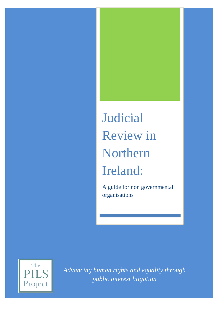# Judicial Review in Northern Ireland:

A guide for non governmental organisations



*Advancing human rights and equality through public interest litigation*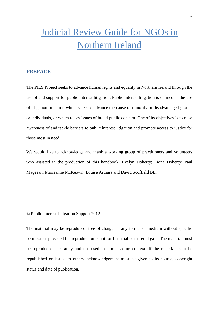### Judicial Review Guide for NGOs in Northern Ireland

#### **PREFACE**

The PILS Project seeks to advance human rights and equality in Northern Ireland through the use of and support for public interest litigation. Public interest litigation is defined as the use of litigation or action which seeks to advance the cause of minority or disadvantaged groups or individuals, or which raises issues of broad public concern. One of its objectives is to raise awareness of and tackle barriers to public interest litigation and promote access to justice for those most in need.

We would like to acknowledge and thank a working group of practitioners and volunteers who assisted in the production of this handbook; Evelyn Doherty; Fiona Doherty; Paul Mageean; Marieanne McKeown, Louise Arthurs and David Scoffield BL.

© Public Interest Litigation Support 2012

The material may be reproduced, free of charge, in any format or medium without specific permission, provided the reproduction is not for financial or material gain. The material must be reproduced accurately and not used in a misleading context. If the material is to be republished or issued to others, acknowledgement must be given to its source, copyright status and date of publication.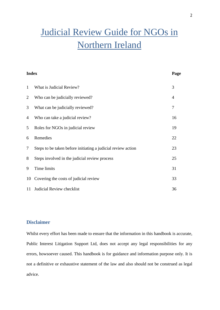## Judicial Review Guide for NGOs in Northern Ireland

| <b>Index</b>   |                                                              | Page |
|----------------|--------------------------------------------------------------|------|
| 1              | What is Judicial Review?                                     | 3    |
| $\overline{2}$ | Who can be judicially reviewed?                              | 4    |
| 3              | What can be judicially reviewed?                             | 7    |
| $\overline{4}$ | Who can take a judicial review?                              | 16   |
| 5              | Roles for NGOs in judicial review                            | 19   |
| 6              | Remedies                                                     | 22   |
| $\tau$         | Steps to be taken before initiating a judicial review action | 23   |
| 8              | Steps involved in the judicial review process                | 25   |
| 9              | Time limits                                                  | 31   |
| 10             | Covering the costs of judicial review                        | 33   |
| 11             | Judicial Review checklist                                    | 36   |

#### **Disclaimer**

Whilst every effort has been made to ensure that the information in this handbook is accurate, Public Interest Litigation Support Ltd, does not accept any legal responsibilities for any errors, howsoever caused. This handbook is for guidance and information purpose only. It is not a definitive or exhaustive statement of the law and also should not be construed as legal advice.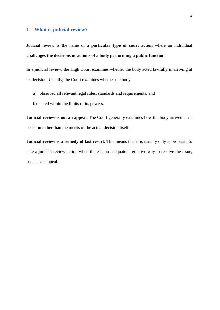#### **1 What is judicial review?**

Judicial review is the name of a **particular type of court action** where an individual **challenges the decisions or actions of a body performing a public function**.

In a judicial review, the High Court examines whether the body acted lawfully in arriving at its decision. Usually, the Court examines whether the body:

- a) observed all relevant legal rules, standards and requirements; and
- b) acted within the limits of its powers.

**Judicial review is not an appeal**. The Court generally examines how the body arrived at its decision rather than the merits of the actual decision itself.

**Judicial review is a remedy of last resort**. This means that it is usually only appropriate to take a judicial review action when there is no adequate alternative way to resolve the issue, such as an appeal.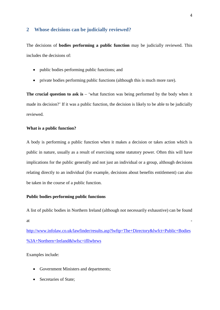#### **2 Whose decisions can be judicially reviewed?**

The decisions of **bodies performing a public function** may be judicially reviewed. This includes the decisions of:

- public bodies performing public functions; and
- private bodies performing public functions (although this is much more rare).

**The crucial question to ask is** – 'what function was being performed by the body when it made its decision?' If it was a public function, the decision is likely to be able to be judicially reviewed.

#### **What is a public function?**

A body is performing a public function when it makes a decision or takes action which is public in nature, usually as a result of exercising some statutory power. Often this will have implications for the public generally and not just an individual or a group, although decisions relating directly to an individual (for example, decisions about benefits entitlement) can also be taken in the course of a public function.

#### **Public bodies performing public functions**

A list of public bodies in Northern Ireland (although not necessarily exhaustive) can be found  $\alpha$  -  $\alpha$  -  $\alpha$  -  $\alpha$  -  $\alpha$  -  $\alpha$  -  $\alpha$  -  $\alpha$  -  $\alpha$  -  $\alpha$  -  $\alpha$  -  $\alpha$  -  $\alpha$  -  $\alpha$  -  $\alpha$  -  $\alpha$  -  $\alpha$  -  $\alpha$  -  $\alpha$  -  $\alpha$  -  $\alpha$  -  $\alpha$  -  $\alpha$  -  $\alpha$  -  $\alpha$  -  $\alpha$  -  $\alpha$  -  $\alpha$  -  $\alpha$  -  $\alpha$  -  $\alpha$  -  $\alpha$ 

<http://www.infolaw.co.uk/lawfinder/results.asp>?lwftp=The+Directory&lwfct=Public+Bodies %3A+Northern+Ireland&lwfsc=ifllwbrws

Examples include:

- Government Ministers and departments;
- Secretaries of State;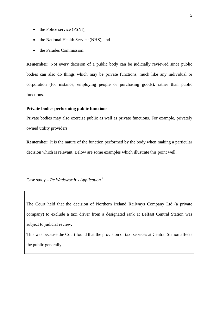- the Police service (PSNI);
- the National Health Service (NHS); and
- the Parades Commission.

**Remember:** Not every decision of a public body can be judicially reviewed since public bodies can also do things which may be private functions, much like any individual or corporation (for instance, employing people or purchasing goods), rather than public functions.

#### **Private bodies performing public functions**

Private bodies may also exercise public as well as private functions. For example, privately owned utility providers.

**Remember:** It is the nature of the function performed by the body when making a particular decision which is relevant. Below are some examples which illustrate this point well.

Case study – *Re Wadsworth's Application* <sup>i</sup>

The Court held that the decision of Northern Ireland Railways Company Ltd (a private company) to exclude a taxi driver from a designated rank at Belfast Central Station was subject to judicial review.

This was because the Court found that the provision of taxi services at Central Station affects the public generally.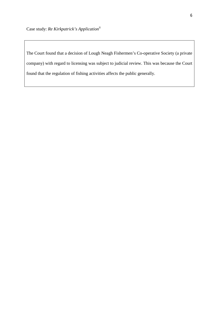The Court found that a decision of Lough Neagh Fishermen's Co-operative Society (a private company) with regard to licensing was subject to judicial review. This was because the Court found that the regulation of fishing activities affects the public generally.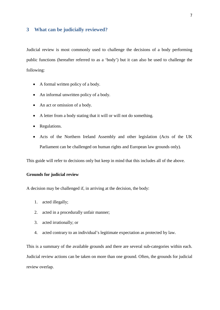#### **3 What can be judicially reviewed?**

Judicial review is most commonly used to challenge the decisions of a body performing public functions (hereafter referred to as a 'body') but it can also be used to challenge the following:

- A formal written policy of a body.
- An informal unwritten policy of a body.
- An act or omission of a body.
- A letter from a body stating that it will or will not do something.
- Regulations.
- Acts of the Northern Ireland Assembly and other legislation (Acts of the UK Parliament can be challenged on human rights and European law grounds only).

This guide will refer to decisions only but keep in mind that this includes all of the above.

#### **Grounds for judicial review**

A decision may be challenged if, in arriving at the decision, the body:

- 1. acted illegally;
- 2. acted in a procedurally unfair manner;
- 3. acted irrationally; or
- 4. acted contrary to an individual's legitimate expectation as protected by law.

This is a summary of the available grounds and there are several sub-categories within each. Judicial review actions can be taken on more than one ground. Often, the grounds for judicial review overlap.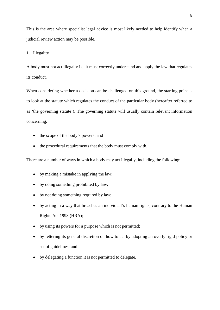This is the area where specialist legal advice is most likely needed to help identify when a judicial review action may be possible.

#### 1. Illegality

A body must not act illegally i.e. it must correctly understand and apply the law that regulates its conduct.

When considering whether a decision can be challenged on this ground, the starting point is to look at the statute which regulates the conduct of the particular body (hereafter referred to as 'the governing statute'). The governing statute will usually contain relevant information concerning:

- the scope of the body's powers; and
- the procedural requirements that the body must comply with.

There are a number of ways in which a body may act illegally, including the following:

- by making a mistake in applying the law;
- by doing something prohibited by law;
- by not doing something required by law;
- by acting in a way that breaches an individual's human rights, contrary to the Human Rights Act 1998 (HRA);
- by using its powers for a purpose which is not permitted;
- by fettering its general discretion on how to act by adopting an overly rigid policy or set of guidelines; and
- by delegating a function it is not permitted to delegate.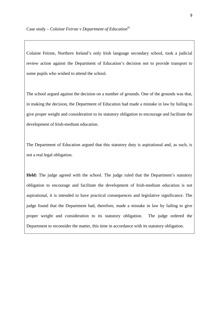Colaiste Feirste, Northern Ireland's only Irish language secondary school, took a judicial review action against the Department of Education's decision not to provide transport to some pupils who wished to attend the school.

The school argued against the decision on a number of grounds. One of the grounds was that, in making the decision, the Department of Education had made a mistake in law by failing to give proper weight and consideration to its statutory obligation to encourage and facilitate the development of Irish-medium education.

The Department of Education argued that this statutory duty is aspirational and, as such, is not a real legal obligation.

**Held:** The judge agreed with the school. The judge ruled that the Department's statutory obligation to encourage and facilitate the development of Irish-medium education is not aspirational, it is intended to have practical consequences and legislative significance. The judge found that the Department had, therefore, made a mistake in law by failing to give proper weight and consideration to its statutory obligation. The judge ordered the Department to reconsider the matter, this time in accordance with its statutory obligation.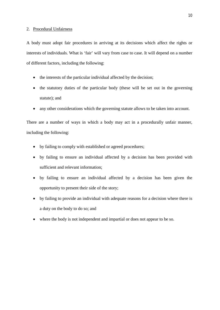#### 2. Procedural Unfairness

A body must adopt fair procedures in arriving at its decisions which affect the rights or interests of individuals. What is 'fair' will vary from case to case. It will depend on a number of different factors, including the following:

- the interests of the particular individual affected by the decision;
- the statutory duties of the particular body (these will be set out in the governing statute); and
- any other considerations which the governing statute allows to be taken into account.

There are a number of ways in which a body may act in a procedurally unfair manner, including the following:

- by failing to comply with established or agreed procedures;
- by failing to ensure an individual affected by a decision has been provided with sufficient and relevant information;
- by failing to ensure an individual affected by a decision has been given the opportunity to present their side of the story;
- by failing to provide an individual with adequate reasons for a decision where there is a duty on the body to do so; and
- where the body is not independent and impartial or does not appear to be so.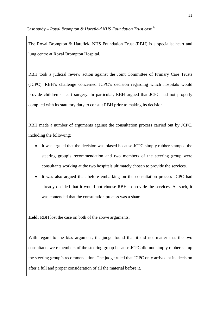The Royal Brompton & Harefield NHS Foundation Trust (RBH) is a specialist heart and lung centre at Royal Brompton Hospital.

RBH took a judicial review action against the Joint Committee of Primary Care Trusts (JCPC). RBH's challenge concerned JCPC's decision regarding which hospitals would provide children's heart surgery. In particular, RBH argued that JCPC had not properly complied with its statutory duty to consult RBH prior to making its decision.

RBH made a number of arguments against the consultation process carried out by JCPC, including the following:

- It was argued that the decision was biased because JCPC simply rubber stamped the steering group's recommendation and two members of the steering group were consultants working at the two hospitals ultimately chosen to provide the services.
- It was also argued that, before embarking on the consultation process JCPC had already decided that it would not choose RBH to provide the services. As such, it was contended that the consultation process was a sham.

**Held:** RBH lost the case on both of the above arguments.

With regard to the bias argument, the judge found that it did not matter that the two consultants were members of the steering group because JCPC did not simply rubber stamp the steering group's recommendation. The judge ruled that JCPC only arrived at its decision after a full and proper consideration of all the material before it.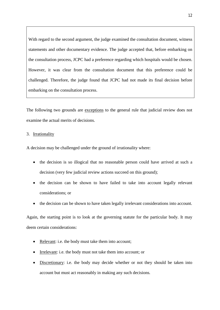With regard to the second argument, the judge examined the consultation document, witness statements and other documentary evidence. The judge accepted that, before embarking on the consultation process, JCPC had a preference regarding which hospitals would be chosen. However, it was clear from the consultation document that this preference could be challenged. Therefore, the judge found that JCPC had not made its final decision before embarking on the consultation process.

The following two grounds are exceptions to the general rule that judicial review does not examine the actual merits of decisions.

#### 3. Irrationality

A decision may be challenged under the ground of irrationality where:

- the decision is so illogical that no reasonable person could have arrived at such a decision (very few judicial review actions succeed on this ground);
- the decision can be shown to have failed to take into account legally relevant considerations; or
- the decision can be shown to have taken legally irrelevant considerations into account.

Again, the starting point is to look at the governing statute for the particular body. It may deem certain considerations:

- Relevant: i.e. the body must take them into account;
- Irrelevant: i.e. the body must not take them into account; or
- Discretionary: i.e. the body may decide whether or not they should be taken into account but must act reasonably in making any such decisions.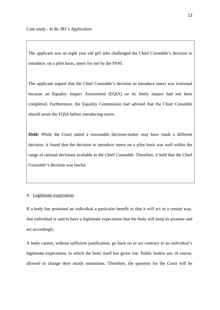The applicant was an eight year old girl who challenged the Chief Constable's decision to introduce, on a pilot basis, tasers for use by the PSNI.

The applicant argued that the Chief Constable's decision to introduce tasers was irrational because an Equality Impact Assessment (EQIA) on its likely impact had not been completed. Furthermore, the Equality Commission had advised that the Chief Constable should await the EQIA before introducing tasers.

**Held:** While the Court stated a reasonable decision-maker may have made a different decision, it found that the decision to introduce tasers on a pilot basis was well within the range of rational decisions available to the Chief Constable. Therefore, it held that the Chief Constable's decision was lawful.

#### 4. Legitimate expectation

If a body has promised an individual a particular benefit or that it will act in a certain way, that individual is said to have a legitimate expectation that the body will keep its promise and act accordingly.

A body cannot, without sufficient justification, go back on or act contrary to an individual's legitimate expectation, to which the body itself has given rise. Public bodies are, of course, allowed to change their minds sometimes. Therefore, the question for the Court will be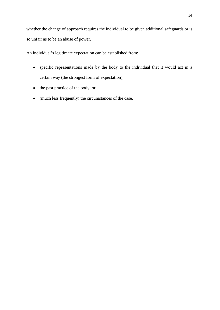whether the change of approach requires the individual to be given additional safeguards or is so unfair as to be an abuse of power.

An individual's legitimate expectation can be established from:

- specific representations made by the body to the individual that it would act in a certain way (the strongest form of expectation);
- the past practice of the body; or
- (much less frequently) the circumstances of the case.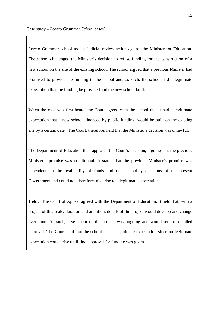Loreto Grammar school took a judicial review action against the Minister for Education. The school challenged the Minister's decision to refuse funding for the construction of a new school on the site of the existing school. The school argued that a previous Minister had promised to provide the funding to the school and, as such, the school had a legitimate expectation that the funding be provided and the new school built.

When the case was first heard, the Court agreed with the school that it had a legitimate expectation that a new school, financed by public funding, would be built on the existing site by a certain date. The Court, therefore, held that the Minister's decision was unlawful.

The Department of Education then appealed the Court's decision, arguing that the previous Minister's promise was conditional. It stated that the previous Minister's promise was dependent on the availability of funds and on the policy decisions of the present Government and could not, therefore, give rise to a legitimate expectation.

**Held:** The Court of Appeal agreed with the Department of Education. It held that, with a project of this scale, duration and ambition, details of the project would develop and change over time. As such, assessment of the project was ongoing and would require detailed approval. The Court held that the school had no legitimate expectation since no legitimate expectation could arise until final approval for funding was given.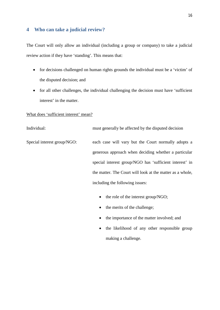#### **4 Who can take a judicial review?**

The Court will only allow an individual (including a group or company) to take a judicial review action if they have 'standing'. This means that:

- for decisions challenged on human rights grounds the individual must be a 'victim' of the disputed decision; and
- for all other challenges, the individual challenging the decision must have 'sufficient interest' in the matter.

#### What does 'sufficient interest' mean?

Individual: must generally be affected by the disputed decision Special interest group/NGO: each case will vary but the Court normally adopts a generous approach when deciding whether a particular special interest group/NGO has 'sufficient interest' in the matter. The Court will look at the matter as a whole, including the following issues:

- the role of the interest group/NGO;
- $\bullet$  the merits of the challenge;
- the importance of the matter involved; and
- the likelihood of any other responsible group making a challenge.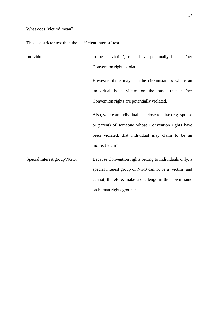#### What does 'victim' mean?

This is a stricter test than the 'sufficient interest' test.

Individual: to be a 'victim', must have personally had his/her Convention rights violated. However, there may also be circumstances where an individual is a victim on the basis that his/her Convention rights are potentially violated. Also, where an individual is a close relative (e.g. spouse or parent) of someone whose Convention rights have been violated, that individual may claim to be an indirect victim. Special interest group/NGO: Because Convention rights belong to individuals only, a special interest group or NGO cannot be a 'victim' and cannot, therefore, make a challenge in their own name on human rights grounds.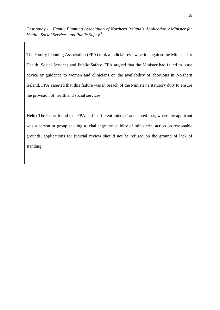Case study - *Family Planning Association of Northern Ireland's Application v Minister for Health, Social Services and Public Safety*<sup>vi</sup>

The Family Planning Association (FPA) took a judicial review action against the Minister for Health, Social Services and Public Safety. FPA argued that the Minister had failed to issue advice or guidance to women and clinicians on the availability of abortions in Northern Ireland. FPA asserted that this failure was in breach of the Minister's statutory duty to ensure the provision of health and social services.

**Held:** The Court found that FPA had 'sufficient interest' and stated that, where the applicant was a person or group seeking to challenge the validity of ministerial action on reasonable grounds, applications for judicial review should not be refused on the ground of lack of standing.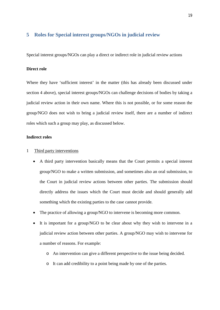#### **5 Roles for Special interest groups/NGOs in judicial review**

Special interest groups/NGOs can play a direct or indirect role in judicial review actions

#### **Direct role**

Where they have 'sufficient interest' in the matter (this has already been discussed under section 4 above), special interest groups/NGOs can challenge decisions of bodies by taking a judicial review action in their own name. Where this is not possible, or for some reason the group/NGO does not wish to bring a judicial review itself, there are a number of indirect roles which such a group may play, as discussed below.

#### **Indirect roles**

#### 1 Third party interventions

- A third party intervention basically means that the Court permits a special interest group/NGO to make a written submission, and sometimes also an oral submission, to the Court in judicial review actions between other parties. The submission should directly address the issues which the Court must decide and should generally add something which the existing parties to the case cannot provide.
- The practice of allowing a group/NGO to intervene is becoming more common.
- It is important for a group/NGO to be clear about why they wish to intervene in a judicial review action between other parties. A group/NGO may wish to intervene for a number of reasons. For example:
	- o An intervention can give a different perspective to the issue being decided.
	- o It can add credibility to a point being made by one of the parties.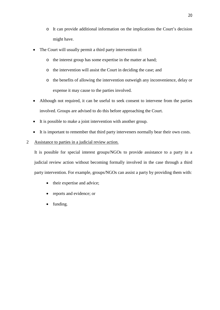- o It can provide additional information on the implications the Court's decision might have.
- The Court will usually permit a third party intervention if:
	- o the interest group has some expertise in the matter at hand;
	- o the intervention will assist the Court in deciding the case; and
	- o the benefits of allowing the intervention outweigh any inconvenience, delay or expense it may cause to the parties involved.
- Although not required, it can be useful to seek consent to intervene from the parties involved. Groups are advised to do this before approaching the Court.
- It is possible to make a joint intervention with another group.
- It is important to remember that third party interveners normally bear their own costs.

#### 2 Assistance to parties in a judicial review action.

It is possible for special interest groups/NGOs to provide assistance to a party in a judicial review action without becoming formally involved in the case through a third party intervention. For example, groups/NGOs can assist a party by providing them with:

- their expertise and advice;
- reports and evidence; or
- funding.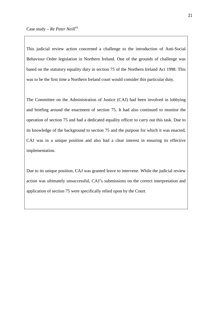This judicial review action concerned a challenge to the introduction of Anti-Social Behaviour Order legislation in Northern Ireland. One of the grounds of challenge was based on the statutory equality duty in section 75 of the Northern Ireland Act 1998. This was to be the first time a Northern Ireland court would consider this particular duty.

The Committee on the Administration of Justice (CAJ) had been involved in lobbying and briefing around the enactment of section 75. It had also continued to monitor the operation of section 75 and had a dedicated equality officer to carry out this task. Due to its knowledge of the background to section 75 and the purpose for which it was enacted, CAJ was in a unique position and also had a clear interest in ensuring its effective implementation.

Due to its unique position, CAJ was granted leave to intervene. While the judicial review action was ultimately unsuccessful, CAJ's submissions on the correct interpretation and application of section 75 were specifically relied upon by the Court.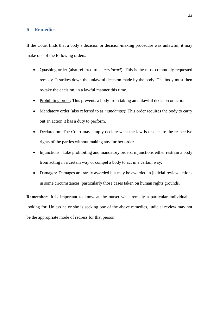#### **6 Remedies**

If the Court finds that a body's decision or decision-making procedure was unlawful, it may make one of the following orders:

- Quashing order (also referred to as *certiorari*): This is the most commonly requested remedy. It strikes down the unlawful decision made by the body. The body must then re-take the decision, in a lawful manner this time.
- Prohibiting order: This prevents a body from taking an unlawful decision or action.
- Mandatory order (also referred to as *mandamus*): This order requires the body to carry out an action it has a duty to perform.
- Declaration: The Court may simply declare what the law is or declare the respective rights of the parties without making any further order.
- Injunctions: Like prohibiting and mandatory orders, injunctions either restrain a body from acting in a certain way or compel a body to act in a certain way.
- Damages: Damages are rarely awarded but may be awarded in judicial review actions in some circumstances, particularly those cases taken on human rights grounds.

**Remember:** It is important to know at the outset what remedy a particular individual is looking for. Unless he or she is seeking one of the above remedies, judicial review may not be the appropriate mode of redress for that person.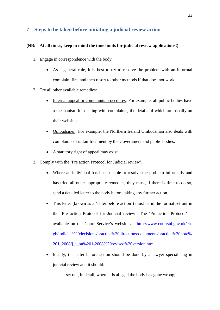#### **7 Steps to be taken before initiating a judicial review action**

#### **(NB: At all times, keep in mind the time limits for judicial review applications!)**

- 1. Engage in correspondence with the body.
	- As a general rule, it is best to try to resolve the problem with an informal complaint first and then resort to other methods if that does not work.
- 2. Try all other available remedies:
	- Internal appeal or complaints procedures: For example, all public bodies have a mechanism for dealing with complaints, the details of which are usually on their websites.
	- Ombudsmen: For example, the Northern Ireland Ombudsman also deals with complaints of unfair treatment by the Government and public bodies.
	- A statutory right of appeal may exist.
- 3. Comply with the 'Pre action Protocol for Judicial review'.
	- Where an individual has been unable to resolve the problem informally and has tried all other appropriate remedies, they must, if there is time to do so, send a detailed letter to the body before taking any further action.
	- This letter (known as a 'letter before action') must be in the format set out in the 'Pre action Protocol for Judicial review'. The 'Pre-action Protocol' is available on the Court Service's website at: [http://www.courtsni.gov.uk/en](http://www.courtsni.gov.uk/en-)gb/judicial%20decisions/practice%20directions/documents/practice%20note% 201\_2008/j\_j\_pn%201-2008%20revised%20version.htm
	- Ideally, the letter before action should be done by a lawyer specialising in judicial review and it should:
		- i. set out, in detail, where it is alleged the body has gone wrong;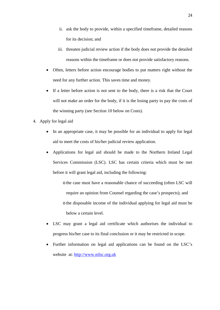- ii. ask the body to provide, within a specified timeframe, detailed reasons for its decision; and
- iii. threaten judicial review action if the body does not provide the detailed reasons within the timeframe or does not provide satisfactory reasons.
- Often, letters before action encourage bodies to put matters right without the need for any further action. This saves time and money.
- If a letter before action is not sent to the body, there is a risk that the Court will not make an order for the body, if it is the losing party to pay the costs of the winning party (see Section 10 below on Costs).
- 4. Apply for legal aid
	- In an appropriate case, it may be possible for an individual to apply for legal aid to meet the costs of his/her judicial review application.
	- Applications for legal aid should be made to the Northern Ireland Legal Services Commission (LSC). LSC has certain criteria which must be met before it will grant legal aid, including the following:
		- othe case must have a reasonable chance of succeeding (often LSC will require an opinion from Counsel regarding the case's prospects); and othe disposable income of the individual applying for legal aid must be below a certain level.
	- LSC may grant a legal aid certificate which authorises the individual to progress his/her case to its final conclusion or it may be restricted in scope.
	- Further information on legal aid applications can be found on the LSC's website at: <http://www.nilsc.org.uk>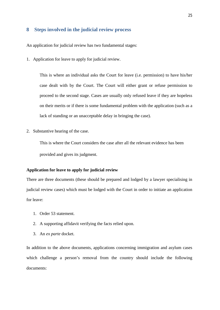#### **8 Steps involved in the judicial review process**

An application for judicial review has two fundamental stages:

1. Application for leave to apply for judicial review.

This is where an individual asks the Court for leave (i.e. permission) to have his/her case dealt with by the Court. The Court will either grant or refuse permission to proceed to the second stage. Cases are usually only refused leave if they are hopeless on their merits or if there is some fundamental problem with the application (such as a lack of standing or an unacceptable delay in bringing the case).

2. Substantive hearing of the case.

This is where the Court considers the case after all the relevant evidence has been provided and gives its judgment.

#### **Application for leave to apply for judicial review**

There are three documents (these should be prepared and lodged by a lawyer specialising in judicial review cases) which must be lodged with the Court in order to initiate an application for leave:

- 1. Order 53 statement.
- 2. A supporting affidavit verifying the facts relied upon.
- 3. An *ex parte* docket.

In addition to the above documents, applications concerning immigration and asylum cases which challenge a person's removal from the country should include the following documents: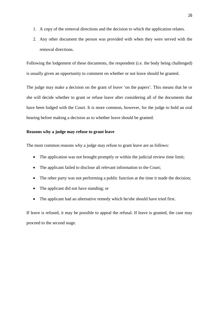- 1. A copy of the removal directions and the decision to which the application relates.
- 2. Any other document the person was provided with when they were served with the removal directions.

Following the lodgement of these documents, the respondent (i.e. the body being challenged) is usually given an opportunity to comment on whether or not leave should be granted.

The judge may make a decision on the grant of leave 'on the papers'. This means that he or she will decide whether to grant or refuse leave after considering all of the documents that have been lodged with the Court. It is more common, however, for the judge to hold an oral hearing before making a decision as to whether leave should be granted.

#### **Reasons why a judge may refuse to grant leave**

The most common reasons why a judge may refuse to grant leave are as follows:

- The application was not brought promptly or within the judicial review time limit;
- The applicant failed to disclose all relevant information to the Court;
- The other party was not performing a public function at the time it made the decision;
- The applicant did not have standing; or
- The applicant had an alternative remedy which he/she should have tried first.

If leave is refused, it may be possible to appeal the refusal. If leave is granted, the case may proceed to the second stage.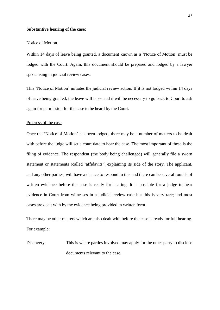#### **Substantive hearing of the case:**

#### Notice of Motion

Within 14 days of leave being granted, a document known as a 'Notice of Motion' must be lodged with the Court. Again, this document should be prepared and lodged by a lawyer specialising in judicial review cases.

This 'Notice of Motion' initiates the judicial review action. If it is not lodged within 14 days of leave being granted, the leave will lapse and it will be necessary to go back to Court to ask again for permission for the case to be heard by the Court.

#### Progress of the case

Once the 'Notice of Motion' has been lodged, there may be a number of matters to be dealt with before the judge will set a court date to hear the case. The most important of these is the filing of evidence. The respondent (the body being challenged) will generally file a sworn statement or statements (called 'affidavits') explaining its side of the story. The applicant, and any other parties, will have a chance to respond to this and there can be several rounds of written evidence before the case is ready for hearing. It is possible for a judge to hear evidence in Court from witnesses in a judicial review case but this is very rare; and most cases are dealt with by the evidence being provided in written form.

There may be other matters which are also dealt with before the case is ready for full hearing. For example:

Discovery: This is where parties involved may apply for the other party to disclose documents relevant to the case.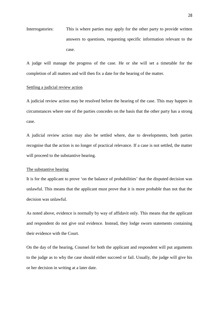Interrogatories: This is where parties may apply for the other party to provide written answers to questions, requesting specific information relevant to the case.

A judge will manage the progress of the case. He or she will set a timetable for the completion of all matters and will then fix a date for the hearing of the matter.

#### Settling a judicial review action

A judicial review action may be resolved before the hearing of the case. This may happen in circumstances where one of the parties concedes on the basis that the other party has a strong case.

A judicial review action may also be settled where, due to developments, both parties recognise that the action is no longer of practical relevance. If a case is not settled, the matter will proceed to the substantive hearing.

#### The substantive hearing

It is for the applicant to prove 'on the balance of probabilities' that the disputed decision was unlawful. This means that the applicant must prove that it is more probable than not that the decision was unlawful.

As noted above, evidence is normally by way of affidavit only. This means that the applicant and respondent do not give oral evidence. Instead, they lodge sworn statements containing their evidence with the Court.

On the day of the hearing, Counsel for both the applicant and respondent will put arguments to the judge as to why the case should either succeed or fail. Usually, the judge will give his or her decision in writing at a later date.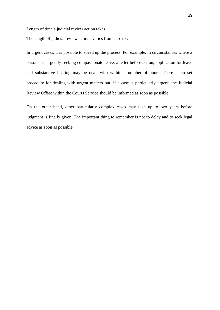#### Length of time a judicial review action takes

The length of judicial review actions varies from case to case.

In urgent cases, it is possible to speed up the process. For example, in circumstances where a prisoner is urgently seeking compassionate leave, a letter before action, application for leave and substantive hearing may be dealt with within a number of hours. There is no set procedure for dealing with urgent matters but, if a case is particularly urgent, the Judicial Review Office within the Courts Service should be informed as soon as possible.

On the other hand, other particularly complex cases may take up to two years before judgment is finally given. The important thing to remember is not to delay and to seek legal advice as soon as possible.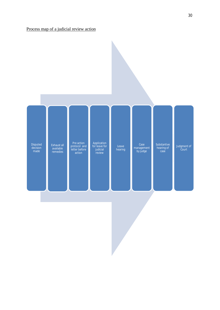

30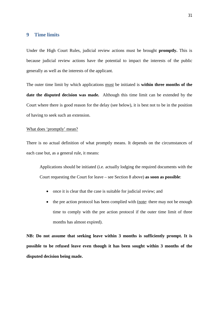#### **9 Time limits**

Under the High Court Rules, judicial review actions must be brought **promptly.** This is because judicial review actions have the potential to impact the interests of the public generally as well as the interests of the applicant.

The outer time limit by which applications must be initiated is **within three months of the date the disputed decision was made.** Although this time limit can be extended by the Court where there is good reason for the delay (see below), it is best not to be in the position of having to seek such an extension.

#### What does 'promptly' mean?

There is no actual definition of what promptly means. It depends on the circumstances of each case but, as a general rule, it means:

Applications should be initiated (i.e. actually lodging the required documents with the Court requesting the Court for leave – see Section 8 above) **as soon as possible**:

- once it is clear that the case is suitable for judicial review; and
- the pre action protocol has been complied with (note: there may not be enough time to comply with the pre action protocol if the outer time limit of three months has almost expired).

**NB: Do not assume that seeking leave within 3 months is sufficiently prompt. It is possible to be refused leave even though it has been sought within 3 months of the disputed decision being made.**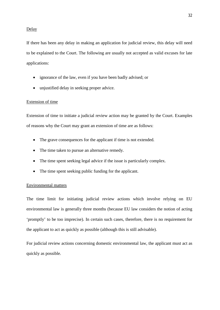#### Delay

If there has been any delay in making an application for judicial review, this delay will need to be explained to the Court. The following are usually not accepted as valid excuses for late applications:

- ignorance of the law, even if you have been badly advised; or
- unjustified delay in seeking proper advice.

#### Extension of time

Extension of time to initiate a judicial review action may be granted by the Court. Examples of reasons why the Court may grant an extension of time are as follows:

- The grave consequences for the applicant if time is not extended.
- The time taken to pursue an alternative remedy.
- The time spent seeking legal advice if the issue is particularly complex.
- The time spent seeking public funding for the applicant.

#### Environmental matters

The time limit for initiating judicial review actions which involve relying on EU environmental law is generally three months (because EU law considers the notion of acting 'promptly' to be too imprecise). In certain such cases, therefore, there is no requirement for the applicant to act as quickly as possible (although this is still advisable).

For judicial review actions concerning domestic environmental law, the applicant must act as quickly as possible.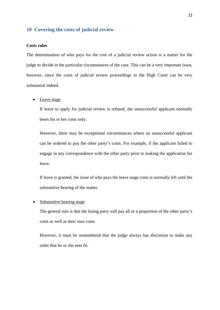#### **10 Covering the costs of judicial review**

#### **Costs rules**

The determination of who pays for the cost of a judicial review action is a matter for the judge to decide in the particular circumstances of the case. This can be a very important issue, however, since the costs of judicial review proceedings in the High Court can be very substantial indeed.

#### • Leave stage

If leave to apply for judicial review is refused, the unsuccessful applicant normally bears his or her costs only.

However, there may be exceptional circumstances where an unsuccessful applicant can be ordered to pay the other party's costs. For example, if the applicant failed to engage in any correspondence with the other party prior to making the application for leave.

If leave is granted, the issue of who pays the leave stage costs is normally left until the substantive hearing of the matter.

#### • Substantive hearing stage

The general rule is that the losing party will pay all or a proportion of the other party's costs as well as their own costs.

However, it must be remembered that the judge always has discretion to make any order that he or she sees fit.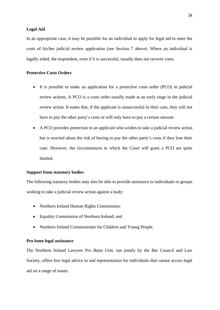#### **Legal Aid**

In an appropriate case, it may be possible for an individual to apply for legal aid to meet the costs of his/her judicial review application (see Section 7 above). Where an individual is legally aided, the respondent, even if it is successful, usually does not recover costs.

#### **Protective Costs Orders**

- It is possible to make an application for a protective costs order (PCO) in judicial review actions. A PCO is a costs order usually made at an early stage in the judicial review action. It states that, if the applicant is unsuccessful in their case, they will not have to pay the other party's costs or will only have to pay a certain amount.
- A PCO provides protection to an applicant who wishes to take a judicial review action but is worried about the risk of having to pay the other party's costs if they lose their case. However, the circumstances in which the Court will grant a PCO are quite limited.

#### **Support from statutory bodies**

The following statutory bodies may also be able to provide assistance to individuals or groups wishing to take a judicial review action against a body:

- Northern Ireland Human Rights Commission;
- Equality Commission of Northern Ireland; and
- Northern Ireland Commissioner for Children and Young People.

#### **Pro bono legal assistance**

The Northern Ireland Lawyers Pro Bono Unit, run jointly by the Bar Council and Law Society, offers free legal advice to and representation for individuals that cannot access legal aid on a range of issues.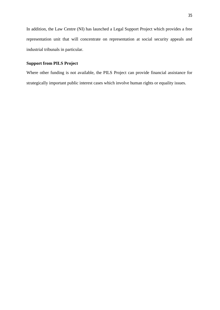In addition, the Law Centre (NI) has launched a Legal Support Project which provides a free representation unit that will concentrate on representation at social security appeals and industrial tribunals in particular.

#### **Support from PILS Project**

Where other funding is not available, the PILS Project can provide financial assistance for strategically important public interest cases which involve human rights or equality issues.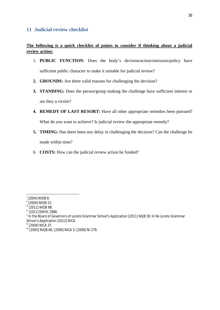#### **11 Judicial review checklist**

#### **The following is a quick checklist of points to consider if thinking about a judicial review action:**

- 1. **PUBLIC FUNCTION**: Does the body's decision/action/omission/policy have sufficient public character to make it suitable for judicial review?
- **2. GROUNDS:** Are there valid reasons for challenging the decision?
- **3. STANDING:** Does the person/group making the challenge have sufficient interest or are they a victim?
- **4. REMEDY OF LAST RESORT:** Have all other appropriate remedies been pursued? What do you want to achieve? Is judicial review the appropriate remedy?
- **5. TIMING:** Has there been any delay in challenging the decision? Can the challenge be made within time?
- 6. **COSTS:** How can the judicial review action be funded?

- $\frac{255}{11}$  [2011] NIQB 98.
- iv [2011] EWHC 2986.

i [2004] NIQB 8.

 $\frac{1200}{1}$  NIQB 15.

 $^{\texttt{v}}$  In the Board of Governors of Loreto Grammar School's Application [2011] NQB 30; In Re Loreto Grammar School's Application [2012] NICA.

vi [2004] NICA 37.

vii [2005] NIQB 66; [2006] NICA 5; [2006] NI 278.